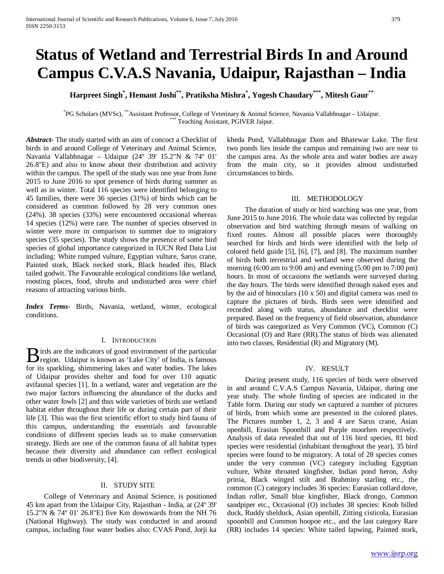# **Status of Wetland and Terrestrial Birds In and Around Campus C.V.A.S Navania, Udaipur, Rajasthan – India**

## **Harpreet Singh\* , Hemant Joshi\*\*, Pratiksha Mishra\* , Yogesh Chaudary\*\*\*, Mitesh Gaur\*\***

\* PG Scholars (MVSc), \*\*Assistant Professor, College of Veterinary & Animal Science, Navania Vallabhnagar – Udaipur. \*\*\* Teaching Assistant, PGIVER Jaipur.

*Abstract***-** The study started with an aim of concoct a Checklist of birds in and around College of Veterinary and Animal Science, Navania Vallabhnagar – Udaipur (24º 39' 15.2"N & 74º 01' 26.8"E) and also to know about their distribution and activity within the campus. The spell of the study was one year from June 2015 to June 2016 to spot presence of birds during summer as well as in winter. Total 116 species were identified belonging to 45 families, there were 36 species (31%) of birds which can be considered as common followed by 28 very common ones (24%). 38 species (33%) were encountered occasional whereas 14 species (12%) were rare. The number of species observed in winter were more in comparison to summer due to migratory species (35 species). The study shows the presence of some bird species of global importance categorized in IUCN Red Data List including: White rumped vulture, Egyptian vulture, Sarus crane, Painted stork, Black necked stork, Black headed ibis, Black tailed godwit. The Favourable ecological conditions like wetland, roosting places, food, shrubs and undisturbed area were chief reasons of attracting various birds.

*Index Terms*- Birds, Navania, wetland, winter, ecological conditions.

## I. INTRODUCTION

irds are the indicators of good environment of the particular **B** irds are the indicators of good environment of the particular region. Udaipur is known as 'Lake City' of India, is famous for its sparkling, shimmering lakes and water bodies. The lakes of Udaipur provides shelter and food for over 110 aquatic avifaunal species [1]. In a wetland, water and vegetation are the two major factors influencing the abundance of the ducks and other water fowls [2] and thus wide varieties of birds use wetland habitat either throughout their life or during certain part of their life [3]. This was the first scientific effort to study bird fauna of this campus, understanding the essentials and favourable conditions of different species leads us to make conservation strategy. Birds are one of the common fauna of all habitat types because their diversity and abundance can reflect ecological trends in other biodiversity, [4].

## II. STUDY SITE

 College of Veterinary and Animal Science, is positioned 45 km apart from the Udaipur City, Rajasthan - India, at (24º 39' 15.2"N & 74º 01' 26.8"E) five Km downwards from the NH 76 (National Highway). The study was conducted in and around campus, including four water bodies also: CVAS Pond, Jorji ka

kheda Pond, Vallabhnagar Dam and Bhatewar Lake. The first two ponds lies inside the campus and remaining two are near to the campus area. As the whole area and water bodies are away from the main city, so it provides almost undisturbed circumstances to birds.

## III. METHODOLOGY

 The duration of study or bird watching was one year, from June 2015 to June 2016. The whole data was collected by regular observation and bird watching through means of walking on fixed routes. Almost all possible places were thoroughly searched for birds and birds were identified with the help of colored field guide [5], [6], [7], and [8]. The maximum number of birds both terrestrial and wetland were observed during the morning (6:00 am to 9:00 am) and evening (5:00 pm to 7:00 pm) hours. In most of occasions the wetlands were surveyed during the day hours. The birds were identified through naked eyes and by the aid of binoculars (10 x 50) and digital camera was used to capture the pictures of birds. Birds seen were identified and recorded along with status, abundance and checklist were prepared. Based on the frequency of field observation, abundance of birds was categorized as Very Common (VC), Common (C) Occasional (O) and Rare (RR).The status of birds was alienated into two classes, Residential (R) and Migratory (M).

## IV. RESULT

 During present study, 116 species of birds were observed in and around C.V.A.S Campus Navania, Udaipur, during one year study. The whole finding of species are indicated in the Table form. During our study we captured a number of pictures of birds, from which some are presented in the colored plates. The Pictures number 1, 2, 3 and 4 are Sarus crane, Asian openbill, Erasiun Spoonbill and Purple moorhen respectively. Analysis of data revealed that out of 116 bird species, 81 bird species were residential (inhabitant throughout the year), 35 bird species were found to be migratory. A total of 28 species comes under the very common (VC) category including Egyptian vulture, White throated kingfisher, Indian pond heron, Ashy prinia, Black winged stilt and Brahminy starling etc., the common (C) category includes 36 species: Eurasian collard dove, Indian roller, Small blue kingfisher, Black drongo, Common sandpiper etc., Occasional (O) includes 38 species: Knob billed duck, Ruddy shelduck, Asian openbill, Zitting cisticola, Eurasian spoonbill and Common hoopoe etc., and the last category Rare (RR) includes 14 species: White tailed lapwing, Painted stork,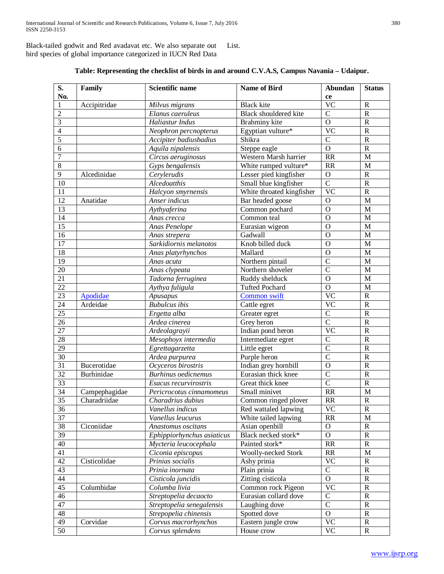Black-tailed godwit and Red avadavat etc. We also separate out bird species of global importance categorized in IUCN Red Data List.

|  |  |  | Table: Representing the checklist of birds in and around C.V.A.S, Campus Navania – Udaipur. |  |
|--|--|--|---------------------------------------------------------------------------------------------|--|
|  |  |  |                                                                                             |  |

| No.<br>ce<br><b>VC</b><br>Accipitridae<br><b>Black</b> kite<br>$\mathbb{R}$<br>1<br>Milvus migrans<br>$\overline{2}$<br>$\mathcal{C}$<br>Elanus caeruleus<br>Black shouldered kite<br>$\mathbf R$<br>3<br>Haliastur Indus<br>$\mathbf O$<br>Brahminy kite<br>$\mathbb{R}$<br>$\overline{4}$<br>Egyptian vulture*<br><b>VC</b><br>$\mathbb{R}$<br>Neophron percnopterus<br>$\overline{5}$<br>$\overline{C}$<br>Shikra<br>$\mathbf R$<br>Accipiter badiusbadius<br>$\mathbf O$<br>6<br>Steppe eagle<br>$\mathbf R$<br>Aquila nipalensis<br>$\overline{7}$<br>RR<br>Western Marsh harrier<br>M<br>Circus aeruginosus<br>8<br>White rumped vulture*<br><b>RR</b><br>Gyps bengalensis<br>M<br>9<br>Alcedinidae<br>Cerylerudis<br>$\mathbf O$<br>Lesser pied kingfisher<br>$\mathbb{R}$<br>$\mathcal{C}$<br>10<br>Alcedoatthis<br>Small blue kingfisher<br>$\mathbb{R}$<br><b>VC</b><br>11<br>White throated kingfisher<br>$\mathbb{R}$<br>Halcyon smyrnensis<br>12<br>Anatidae<br>Anser indicus<br>$\mathbf O$<br>M<br>Bar headed goose<br>13<br>$\mathbf{O}$<br>Common pochard<br>M<br>Aythyaferina<br>14<br>Common teal<br>$\mathbf{O}$<br>M<br>Anas crecca | <b>Status</b> |
|----------------------------------------------------------------------------------------------------------------------------------------------------------------------------------------------------------------------------------------------------------------------------------------------------------------------------------------------------------------------------------------------------------------------------------------------------------------------------------------------------------------------------------------------------------------------------------------------------------------------------------------------------------------------------------------------------------------------------------------------------------------------------------------------------------------------------------------------------------------------------------------------------------------------------------------------------------------------------------------------------------------------------------------------------------------------------------------------------------------------------------------------------------|---------------|
|                                                                                                                                                                                                                                                                                                                                                                                                                                                                                                                                                                                                                                                                                                                                                                                                                                                                                                                                                                                                                                                                                                                                                          |               |
|                                                                                                                                                                                                                                                                                                                                                                                                                                                                                                                                                                                                                                                                                                                                                                                                                                                                                                                                                                                                                                                                                                                                                          |               |
|                                                                                                                                                                                                                                                                                                                                                                                                                                                                                                                                                                                                                                                                                                                                                                                                                                                                                                                                                                                                                                                                                                                                                          |               |
|                                                                                                                                                                                                                                                                                                                                                                                                                                                                                                                                                                                                                                                                                                                                                                                                                                                                                                                                                                                                                                                                                                                                                          |               |
|                                                                                                                                                                                                                                                                                                                                                                                                                                                                                                                                                                                                                                                                                                                                                                                                                                                                                                                                                                                                                                                                                                                                                          |               |
|                                                                                                                                                                                                                                                                                                                                                                                                                                                                                                                                                                                                                                                                                                                                                                                                                                                                                                                                                                                                                                                                                                                                                          |               |
|                                                                                                                                                                                                                                                                                                                                                                                                                                                                                                                                                                                                                                                                                                                                                                                                                                                                                                                                                                                                                                                                                                                                                          |               |
|                                                                                                                                                                                                                                                                                                                                                                                                                                                                                                                                                                                                                                                                                                                                                                                                                                                                                                                                                                                                                                                                                                                                                          |               |
|                                                                                                                                                                                                                                                                                                                                                                                                                                                                                                                                                                                                                                                                                                                                                                                                                                                                                                                                                                                                                                                                                                                                                          |               |
|                                                                                                                                                                                                                                                                                                                                                                                                                                                                                                                                                                                                                                                                                                                                                                                                                                                                                                                                                                                                                                                                                                                                                          |               |
|                                                                                                                                                                                                                                                                                                                                                                                                                                                                                                                                                                                                                                                                                                                                                                                                                                                                                                                                                                                                                                                                                                                                                          |               |
|                                                                                                                                                                                                                                                                                                                                                                                                                                                                                                                                                                                                                                                                                                                                                                                                                                                                                                                                                                                                                                                                                                                                                          |               |
|                                                                                                                                                                                                                                                                                                                                                                                                                                                                                                                                                                                                                                                                                                                                                                                                                                                                                                                                                                                                                                                                                                                                                          |               |
|                                                                                                                                                                                                                                                                                                                                                                                                                                                                                                                                                                                                                                                                                                                                                                                                                                                                                                                                                                                                                                                                                                                                                          |               |
|                                                                                                                                                                                                                                                                                                                                                                                                                                                                                                                                                                                                                                                                                                                                                                                                                                                                                                                                                                                                                                                                                                                                                          |               |
| 15<br>Eurasian wigeon<br>$\mathbf O$<br>Anas Penelope<br>M                                                                                                                                                                                                                                                                                                                                                                                                                                                                                                                                                                                                                                                                                                                                                                                                                                                                                                                                                                                                                                                                                               |               |
| $\overline{16}$<br>Gadwall<br>$\mathbf O$<br>M<br>Anas strepera                                                                                                                                                                                                                                                                                                                                                                                                                                                                                                                                                                                                                                                                                                                                                                                                                                                                                                                                                                                                                                                                                          |               |
| $\overline{17}$<br>Sarkidiornis melanotos<br>Knob billed duck<br>$\mathbf{O}$<br>M                                                                                                                                                                                                                                                                                                                                                                                                                                                                                                                                                                                                                                                                                                                                                                                                                                                                                                                                                                                                                                                                       |               |
| $\overline{18}$<br>Mallard<br>Anas platyrhynchos<br>$\mathbf O$<br>M                                                                                                                                                                                                                                                                                                                                                                                                                                                                                                                                                                                                                                                                                                                                                                                                                                                                                                                                                                                                                                                                                     |               |
| $\overline{19}$<br>$\overline{\rm C}$<br>Northern pintail<br>M<br>Anas acuta                                                                                                                                                                                                                                                                                                                                                                                                                                                                                                                                                                                                                                                                                                                                                                                                                                                                                                                                                                                                                                                                             |               |
| $\overline{C}$<br>$\overline{20}$<br>Northern shoveler<br>Anas clypeata<br>M                                                                                                                                                                                                                                                                                                                                                                                                                                                                                                                                                                                                                                                                                                                                                                                                                                                                                                                                                                                                                                                                             |               |
| 21<br>Ruddy shelduck<br>$\mathbf O$<br>Tadorna ferruginea<br>M                                                                                                                                                                                                                                                                                                                                                                                                                                                                                                                                                                                                                                                                                                                                                                                                                                                                                                                                                                                                                                                                                           |               |
| $\overline{22}$<br><b>Tufted Pochard</b><br>$\mathbf O$<br>Aythya fuligula<br>$\mathbf{M}$                                                                                                                                                                                                                                                                                                                                                                                                                                                                                                                                                                                                                                                                                                                                                                                                                                                                                                                                                                                                                                                               |               |
| $\overline{23}$<br>$\overline{\text{VC}}$<br>Apodidae<br>Common swift<br>$\mathbb{R}$<br>Apusapus                                                                                                                                                                                                                                                                                                                                                                                                                                                                                                                                                                                                                                                                                                                                                                                                                                                                                                                                                                                                                                                        |               |
| <b>Bubulcus</b> ibis<br>$\overline{\text{VC}}$<br>24<br>Ardeidae<br>$\mathbb{R}$<br>Cattle egret                                                                                                                                                                                                                                                                                                                                                                                                                                                                                                                                                                                                                                                                                                                                                                                                                                                                                                                                                                                                                                                         |               |
| $\overline{25}$<br>$\overline{\rm C}$<br>Ergetta alba<br>Greater egret<br>$\mathbb{R}$                                                                                                                                                                                                                                                                                                                                                                                                                                                                                                                                                                                                                                                                                                                                                                                                                                                                                                                                                                                                                                                                   |               |
| $\overline{\rm C}$<br>$\overline{26}$<br>Ardea cinerea<br>Grey heron<br>${\bf R}$                                                                                                                                                                                                                                                                                                                                                                                                                                                                                                                                                                                                                                                                                                                                                                                                                                                                                                                                                                                                                                                                        |               |
| 27<br>$\overline{\text{VC}}$<br>Ardeolagrayii<br>Indian pond heron<br>${\bf R}$                                                                                                                                                                                                                                                                                                                                                                                                                                                                                                                                                                                                                                                                                                                                                                                                                                                                                                                                                                                                                                                                          |               |
| 28<br>$\overline{C}$<br>Mesophoyx intermedia<br>Intermediate egret<br>${\bf R}$                                                                                                                                                                                                                                                                                                                                                                                                                                                                                                                                                                                                                                                                                                                                                                                                                                                                                                                                                                                                                                                                          |               |
| 29<br>$\overline{C}$<br>Little egret<br>$\mathbf R$<br>Egrettagarzetta                                                                                                                                                                                                                                                                                                                                                                                                                                                                                                                                                                                                                                                                                                                                                                                                                                                                                                                                                                                                                                                                                   |               |
| 30<br>$\overline{C}$<br>Purple heron<br>Ardea purpurea<br>$\mathbf R$                                                                                                                                                                                                                                                                                                                                                                                                                                                                                                                                                                                                                                                                                                                                                                                                                                                                                                                                                                                                                                                                                    |               |
| $\overline{31}$<br>Bucerotidae<br>Ocyceros birostris<br>Indian grey hornbill<br>$\mathbf O$<br>$\mathbf R$                                                                                                                                                                                                                                                                                                                                                                                                                                                                                                                                                                                                                                                                                                                                                                                                                                                                                                                                                                                                                                               |               |
| $\overline{32}$<br>Burhinidae<br><b>Burhinus</b> oedicnemus<br>Eurasian thick knee<br>$\mathcal{C}$<br>$\mathbb{R}$                                                                                                                                                                                                                                                                                                                                                                                                                                                                                                                                                                                                                                                                                                                                                                                                                                                                                                                                                                                                                                      |               |
| 33<br>$\overline{C}$<br>Great thick knee<br>${\bf R}$<br>Esacus recurvirostris                                                                                                                                                                                                                                                                                                                                                                                                                                                                                                                                                                                                                                                                                                                                                                                                                                                                                                                                                                                                                                                                           |               |
| 34<br>$\overline{RR}$<br>Campephagidae<br>Small minivet<br>M<br>Pericrocotus cinnamomeus                                                                                                                                                                                                                                                                                                                                                                                                                                                                                                                                                                                                                                                                                                                                                                                                                                                                                                                                                                                                                                                                 |               |
| $\overline{35}$<br>Charadriidae<br>RR<br>Charadrius dubius<br>Common ringed plover<br>$\mathbf R$                                                                                                                                                                                                                                                                                                                                                                                                                                                                                                                                                                                                                                                                                                                                                                                                                                                                                                                                                                                                                                                        |               |
| 36<br>Vanellus indicus<br>Red wattaled lapwing<br>VC<br>R                                                                                                                                                                                                                                                                                                                                                                                                                                                                                                                                                                                                                                                                                                                                                                                                                                                                                                                                                                                                                                                                                                |               |
| 37<br>Vanellus leucurus<br>White tailed lapwing<br><b>RR</b><br>M                                                                                                                                                                                                                                                                                                                                                                                                                                                                                                                                                                                                                                                                                                                                                                                                                                                                                                                                                                                                                                                                                        |               |
| 38<br>Ciconiidae<br>Asian openbill<br>Anastomus oscitans<br>$\mathbf{O}$<br>$\mathbf R$                                                                                                                                                                                                                                                                                                                                                                                                                                                                                                                                                                                                                                                                                                                                                                                                                                                                                                                                                                                                                                                                  |               |
| 39<br>Black necked stork*<br>Ephippiorhynchus asiaticus<br>$\mathbf{O}$<br>$\mathbb{R}$                                                                                                                                                                                                                                                                                                                                                                                                                                                                                                                                                                                                                                                                                                                                                                                                                                                                                                                                                                                                                                                                  |               |
| $40\,$<br>Mycteria leucocephala<br>Painted stork*<br>RR<br>$\mathbb{R}$                                                                                                                                                                                                                                                                                                                                                                                                                                                                                                                                                                                                                                                                                                                                                                                                                                                                                                                                                                                                                                                                                  |               |
| Woolly-necked Stork<br>41<br>Ciconia episcopus<br>RR<br>M                                                                                                                                                                                                                                                                                                                                                                                                                                                                                                                                                                                                                                                                                                                                                                                                                                                                                                                                                                                                                                                                                                |               |
| $\overline{\text{VC}}$<br>42<br>Cisticolidae<br>Prinias socialis<br>Ashy prinia<br>$\mathbf R$                                                                                                                                                                                                                                                                                                                                                                                                                                                                                                                                                                                                                                                                                                                                                                                                                                                                                                                                                                                                                                                           |               |
| $\mathsf{C}$<br>43<br>Prinia inornata<br>Plain prinia<br>$\mathbf R$                                                                                                                                                                                                                                                                                                                                                                                                                                                                                                                                                                                                                                                                                                                                                                                                                                                                                                                                                                                                                                                                                     |               |
| 44<br>Cisticola juncidis<br>Zitting cisticola<br>$\mathbf{O}$<br>$\mathbb{R}$                                                                                                                                                                                                                                                                                                                                                                                                                                                                                                                                                                                                                                                                                                                                                                                                                                                                                                                                                                                                                                                                            |               |
| 45<br><b>VC</b><br>Columbidae<br>Columba livia<br>Common rock Pigeon<br>$\mathbf R$                                                                                                                                                                                                                                                                                                                                                                                                                                                                                                                                                                                                                                                                                                                                                                                                                                                                                                                                                                                                                                                                      |               |
| $\mathsf{C}$<br>46<br>Streptopelia decaocto<br>Eurasian collard dove<br>$\mathbf R$                                                                                                                                                                                                                                                                                                                                                                                                                                                                                                                                                                                                                                                                                                                                                                                                                                                                                                                                                                                                                                                                      |               |
| $\overline{C}$<br>Laughing dove<br>47<br>Streptopelia senegalensis<br>$\mathbf R$                                                                                                                                                                                                                                                                                                                                                                                                                                                                                                                                                                                                                                                                                                                                                                                                                                                                                                                                                                                                                                                                        |               |
| 48<br>Strepopelia chinensis<br>Spotted dove<br>$\mathbf{O}$<br>$\mathbf R$                                                                                                                                                                                                                                                                                                                                                                                                                                                                                                                                                                                                                                                                                                                                                                                                                                                                                                                                                                                                                                                                               |               |
| 49<br><b>VC</b><br>Corvidae<br>Corvus macrorhynchos<br>Eastern jungle crow<br>$\mathbf R$                                                                                                                                                                                                                                                                                                                                                                                                                                                                                                                                                                                                                                                                                                                                                                                                                                                                                                                                                                                                                                                                |               |
| 50<br><b>VC</b><br>Corvus splendens<br>House crow<br>$\mathbb{R}$                                                                                                                                                                                                                                                                                                                                                                                                                                                                                                                                                                                                                                                                                                                                                                                                                                                                                                                                                                                                                                                                                        |               |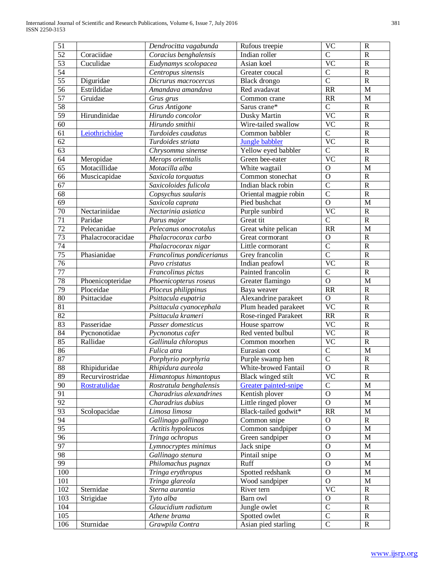| 51              |                   | Dendrocitta vagabunda           | Rufous treepie                       | <b>VC</b>                  | ${\bf R}$                |
|-----------------|-------------------|---------------------------------|--------------------------------------|----------------------------|--------------------------|
| $\overline{52}$ | Coraciidae        | Coracius benghalensis           | Indian roller                        | $\overline{C}$             | ${\bf R}$                |
| $\overline{53}$ | Cuculidae         | Eudynamys scolopacea            | Asian koel                           | $\overline{VC}$            | ${\bf R}$                |
| $\overline{54}$ |                   | Centropus sinensis              | Greater coucal                       | $\overline{\rm C}$         | ${\bf R}$                |
| $\overline{55}$ | Diguridae         | Dicrurus macrocercus            | Black drongo                         | $\overline{C}$             | ${\bf R}$                |
| $\overline{56}$ | Estrildidae       | Amandava amandava               | Red avadavat                         | RR                         | $\mathbf M$              |
| 57              | Gruidae           | Grus grus                       | Common crane                         | RR                         | $\mathbf M$              |
| 58              |                   | <b>Grus Antigone</b>            | Sarus crane*                         | $\mathbf{C}$               | ${\bf R}$                |
| 59              | Hirundinidae      | Hirundo concolor                | Dusky Martin                         | $\overline{VC}$            | ${\bf R}$                |
| 60              |                   | Hirundo smithii                 | Wire-tailed swallow                  | $\overline{VC}$            | ${\bf R}$                |
| 61              | Leiothrichidae    | Turdoides caudatus              | Common babbler                       | $\overline{C}$             | ${\bf R}$                |
| 62              |                   | Turdoides striata               | Jungle babbler                       | $\overline{\text{VC}}$     | ${\bf R}$                |
| 63              |                   | Chrysomma sinense               | Yellow eyed babbler                  | $\overline{C}$             | ${\bf R}$                |
| 64              | Meropidae         | Merops orientalis               | Green bee-eater                      | $\overline{\text{VC}}$     | ${\bf R}$                |
| 65              | Motacillidae      | Motacilla alba                  | White wagtail                        | $\mathbf{O}$               | $\mathbf M$              |
| 66              | Muscicapidae      | Saxicola torquatus              | Common stonechat                     | $\mathbf O$                | ${\bf R}$                |
| 67              |                   | Saxicoloides fulicola           | Indian black robin                   | $\mathcal{C}$              | ${\bf R}$                |
| 68              |                   | Copsychus saularis              | Oriental magpie robin                | $\overline{C}$             | $\mathbf R$              |
| 69              |                   | Saxicola caprata                | Pied bushchat                        | $\mathbf{O}$               | $\mathbf M$              |
| $\overline{70}$ | Nectariniidae     | Nectarinia asiatica             | Purple sunbird                       | $\overline{VC}$            | ${\bf R}$                |
| $71\,$          | Paridae           | Parus major                     | Great tit                            | $\overline{C}$             | ${\bf R}$                |
| 72              | Pelecanidae       | Pelecanus onocrotalus           | Great white pelican                  | RR                         | $\mathbf M$              |
| 73              | Phalacrocoracidae | Phalacrocorax carbo             | Great cormorant                      | $\mathbf O$                | ${\bf R}$                |
| 74              |                   | Phalacrocorax nigar             | Little cormorant                     | $\mathbf C$                | ${\bf R}$                |
| 75              | Phasianidae       | Francolinus pondicerianus       | Grey francolin                       | $\overline{C}$             | ${\bf R}$                |
| 76              |                   | Pavo cristatus                  | Indian peafowl                       | $\overline{\text{VC}}$     | ${\bf R}$                |
| 77              |                   | Francolinus pictus              | Painted francolin                    | $\overline{\mathsf{C}}$    | $\mathbf R$              |
| 78              | Phoenicopteridae  | Phoenicopterus roseus           | Greater flamingo                     | $\mathbf{O}$               | $\mathbf M$              |
| 79              | Ploceidae         | Ploceus philippinus             | Baya weaver                          | RR                         | ${\bf R}$                |
| 80              | Psittacidae       | Psittacula eupatria             | Alexandrine parakeet                 | $\overline{O}$             | ${\bf R}$                |
| 81              |                   | Psittacula cyanocephala         | Plum headed parakeet                 | <b>VC</b>                  | ${\bf R}$                |
| 82              |                   | Psittacula krameri              | <b>Rose-ringed Parakeet</b>          | RR                         | ${\bf R}$                |
| 83              | Passeridae        | Passer domesticus               | House sparrow                        | <b>VC</b>                  | ${\bf R}$                |
| 84              | Pycnonotidae      | Pycnonotus cafer                | Red vented bulbul                    | <b>VC</b>                  | ${\bf R}$                |
| 85              | Rallidae          | Gallinula chloropus             | Common moorhen                       | <b>VC</b>                  | ${\bf R}$                |
| 86              |                   | Fulica atra                     | Eurasian coot                        | $\overline{C}$             | $\mathbf{M}$             |
| 87              |                   | Porphyrio porphyria             | Purple swamp hen                     | $\overline{C}$             | ${\bf R}$                |
| $\overline{88}$ | Rhipiduridae      | Rhipidura aureola               | White-browed Fantail                 | $\overline{0}$             | $\overline{\text{R}}$    |
| 89              | Recurvirostridae  | Himantopus himantopus           | Black winged stilt                   | <b>VC</b>                  | $\mathbb{R}$             |
| 90              | Rostratulidae     | Rostratula benghalensis         | Greater painted-snipe                | $\mathbf C$                | $\mathbf M$              |
| 91              |                   | Charadrius alexandrines         | Kentish plover                       | $\mathbf{O}$               | M                        |
| 92              |                   | Charadrius dubius               | Little ringed plover                 | $\mathbf{O}$               | M                        |
| 93              | Scolopacidae      | Limosa limosa                   | Black-tailed godwit*                 | RR                         | M                        |
| 94              |                   |                                 |                                      |                            |                          |
| 95              |                   |                                 |                                      |                            |                          |
| 96              |                   | Gallinago gallinago             | Common snipe                         | $\mathbf{O}$               | ${\bf R}$                |
|                 |                   | Actitis hypoleucos              | Common sandpiper                     | $\mathbf{O}$               | M                        |
|                 |                   | Tringa ochropus                 | Green sandpiper                      | $\mathbf O$                | $\mathbf M$              |
| 97              |                   | Lymnocryptes minimus            | Jack snipe                           | $\mathbf{O}$               | M                        |
| 98              |                   | Gallinago stenura               | Pintail snipe                        | $\mathbf O$                | $\mathbf M$              |
| 99              |                   | Philomachus pugnax              | Ruff                                 | $\mathbf{O}$               | M                        |
| 100             |                   | Tringa erythropus               | Spotted redshank                     | $\mathbf{O}$               | M                        |
| 101             |                   | Tringa glareola                 | Wood sandpiper                       | $\mathbf{O}$               | M                        |
| 102             | Sternidae         | Sterna aurantia                 | River tern                           | <b>VC</b>                  | ${\bf R}$                |
| 103             | Strigidae         | Tyto alba                       | Barn owl                             | $\mathbf{O}$               | ${\bf R}$                |
| 104             |                   | Glaucidium radiatum             | Jungle owlet                         | $\mathcal{C}$              | ${\bf R}$                |
| 105<br>106      | Sturnidae         | Athene brama<br>Grawpila Contra | Spotted owlet<br>Asian pied starling | $\mathbf C$<br>$\mathbf C$ | ${\bf R}$<br>$\mathbf R$ |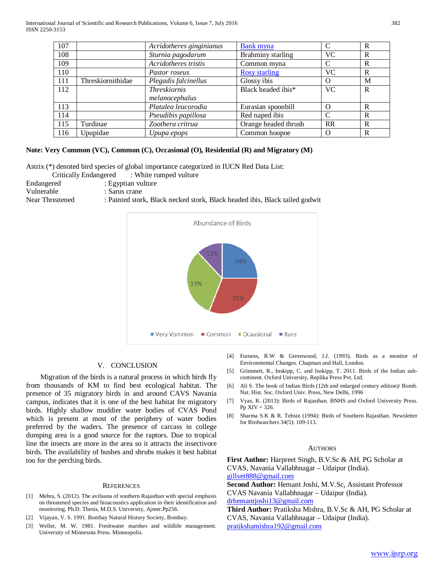| 107 |                   | Acridotheres ginginianus | <b>Bank myna</b>     |           | R |
|-----|-------------------|--------------------------|----------------------|-----------|---|
| 108 |                   | Sturnia pagodarum        | Brahminy starling    | VС        | R |
| 109 |                   | Acridotheres tristis     | Common myna          |           | R |
| 110 |                   | Pastor roseus            | <b>Rosy starling</b> | VС        | R |
| 111 | Threskiornithidae | Plegadis falcinellus     | Glossy ibis          | O         | M |
| 112 |                   | <b>Threskiornis</b>      | Black headed ibis*   | <b>VC</b> | R |
|     |                   | melanocephalus           |                      |           |   |
| 113 |                   | Platalea leucorodia      | Eurasian spoonbill   | Ω         | R |
| 114 |                   | Pseudibis papillosa      | Red naped ibis       |           | R |
| 115 | Turdinae          | Zoothera critrua         | Orange headed thrush | <b>RR</b> | R |
| 116 | Upupidae          | Upupa epops              | Common hoopoe        | $\Omega$  | R |

## **Note: Very Common (VC), Common (C), Occasional (O), Residential (R) and Migratory (M)**

Astrix (\*) denoted bird species of global importance categorized in IUCN Red Data List:

Critically Endangered : White rumped vulture

Endangered : Egyptian vulture

Vulnerable : Sarus crane

Near Threatened : Painted stork, Black necked stork, Black headed ibis, Black tailed godwit



### V. CONCLUSION

 Migration of the birds is a natural process in which birds fly from thousands of KM to find best ecological habitat. The presence of 35 migratory birds in and around CAVS Navania campus, indicates that it is one of the best habitat for migratory birds. Highly shallow muddier water bodies of CVAS Pond which is present at most of the periphery of water bodies preferred by the waders. The presence of carcass in college dumping area is a good source for the raptors. Due to tropical line the insects are more in the area so it attracts the insectivore birds. The availability of bushes and shrubs makes it best habitat too for the perching birds.

#### **REFERENCES**

- [1] Mehra, S. (2012). The avifauna of southern Rajasthan with special emphasis on threatened species and bioacoustics application in their identification and monitoring. Ph.D. Thesis, M.D.S. University, Ajmer.Pp256.
- [2] Vijayan, V. S. 1991. Bombay Natural History Society, Bombay.
- [3] Weller, M. W. 1981. Freshwater marshes and wildlife management. University of Minnesota Press. Minneapolis.
- [4] Furness, R.W & Greenwood, J.J. (1993). Birds as a monitor of Environmental Changes. Chapman and Hall, London.
- [5] Grimmett, R., Inskipp, C. and Inskipp, T. 2011. Birds of the Indian subcontinent. Oxford University, Replika Press Pvt. Ltd.
- [6] Ali S. The book of Indian Birds (12th and enlarged century edition)/ Bomb. Nat. Hist. Soc. Oxford Univ. Press, New Delhi, 1996
- [7] Vyas, R. (2013): Birds of Rajasthan. BNHS and Oxford University Press. Pp XIV + 326.
- [8] Sharma S.K & R. Tehsin (1994): Birds of Southern Rajasthan. Newsletter for Birdwatchers 34(5): 109-113.

#### **AUTHORS**

**First Author:** Harpreet Singh, B.V.Sc & AH, PG Scholar at CVAS, Navania Vallabhnagar – Udaipur (India). [gillvet888@gmail.com](mailto:gillvet888@gmail.com) 

**Second Author:** Hemant Joshi, M.V.Sc, Assistant Professor CVAS Navania Vallabhnagar – Udaipur (India). [drhemantjoshi13@gmail.com](mailto:drhemantjoshi13@gmail.com)

**Third Author:** Pratiksha Mishra, B.V.Sc & AH, PG Scholar at CVAS, Navania Vallabhnagar – Udaipur (India). [pratikshamishra192@gmail.com](mailto:pratikshamishra192@gmail.com)